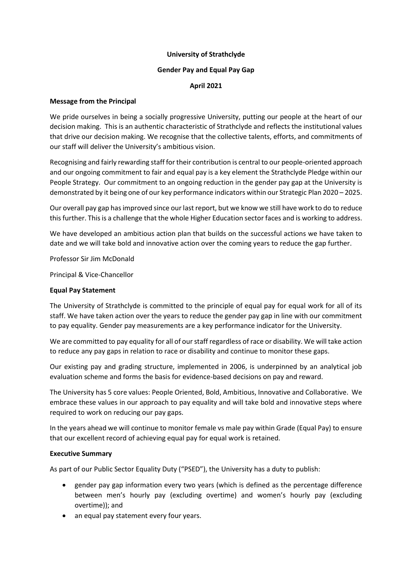### **University of Strathclyde**

### **Gender Pay and Equal Pay Gap**

### **April 2021**

### **Message from the Principal**

We pride ourselves in being a socially progressive University, putting our people at the heart of our decision making. This is an authentic characteristic of Strathclyde and reflects the institutional values that drive our decision making. We recognise that the collective talents, efforts, and commitments of our staff will deliver the University's ambitious vision.

Recognising and fairly rewarding staff for their contribution is central to our people-oriented approach and our ongoing commitment to fair and equal pay is a key element the Strathclyde Pledge within our People Strategy. Our commitment to an ongoing reduction in the gender pay gap at the University is demonstrated by it being one of our key performance indicators within our Strategic Plan 2020 – 2025.

Our overall pay gap has improved since our last report, but we know we still have work to do to reduce this further. This is a challenge that the whole Higher Education sector faces and is working to address.

We have developed an ambitious action plan that builds on the successful actions we have taken to date and we will take bold and innovative action over the coming years to reduce the gap further.

Professor Sir Jim McDonald

Principal & Vice-Chancellor

### **Equal Pay Statement**

The University of Strathclyde is committed to the principle of equal pay for equal work for all of its staff. We have taken action over the years to reduce the gender pay gap in line with our commitment to pay equality. Gender pay measurements are a key performance indicator for the University.

We are committed to pay equality for all of our staff regardless of race or disability. We will take action to reduce any pay gaps in relation to race or disability and continue to monitor these gaps.

Our existing pay and grading structure, implemented in 2006, is underpinned by an analytical job evaluation scheme and forms the basis for evidence-based decisions on pay and reward.

The University has 5 core values: People Oriented, Bold, Ambitious, Innovative and Collaborative. We embrace these values in our approach to pay equality and will take bold and innovative steps where required to work on reducing our pay gaps.

In the years ahead we will continue to monitor female vs male pay within Grade (Equal Pay) to ensure that our excellent record of achieving equal pay for equal work is retained.

### **Executive Summary**

As part of our Public Sector Equality Duty ("PSED"), the University has a duty to publish:

- gender pay gap information every two years (which is defined as the percentage difference between men's hourly pay (excluding overtime) and women's hourly pay (excluding overtime)); and
- an equal pay statement every four years.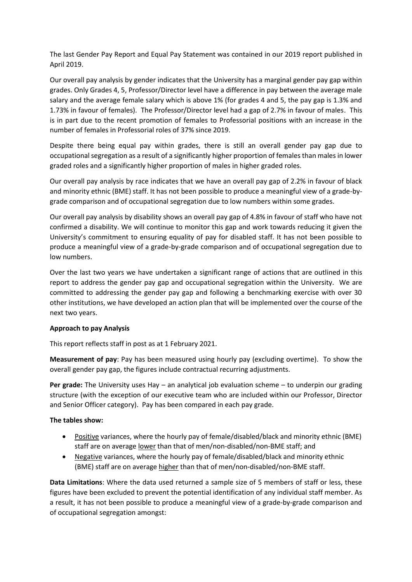The last Gender Pay Report and Equal Pay Statement was contained in our 2019 report published in April 2019.

Our overall pay analysis by gender indicates that the University has a marginal gender pay gap within grades. Only Grades 4, 5, Professor/Director level have a difference in pay between the average male salary and the average female salary which is above 1% (for grades 4 and 5, the pay gap is 1.3% and 1.73% in favour of females). The Professor/Director level had a gap of 2.7% in favour of males. This is in part due to the recent promotion of females to Professorial positions with an increase in the number of females in Professorial roles of 37% since 2019.

Despite there being equal pay within grades, there is still an overall gender pay gap due to occupational segregation as a result of a significantly higher proportion of females than males in lower graded roles and a significantly higher proportion of males in higher graded roles.

Our overall pay analysis by race indicates that we have an overall pay gap of 2.2% in favour of black and minority ethnic (BME) staff. It has not been possible to produce a meaningful view of a grade-bygrade comparison and of occupational segregation due to low numbers within some grades.

Our overall pay analysis by disability shows an overall pay gap of 4.8% in favour of staff who have not confirmed a disability. We will continue to monitor this gap and work towards reducing it given the University's commitment to ensuring equality of pay for disabled staff. It has not been possible to produce a meaningful view of a grade-by-grade comparison and of occupational segregation due to low numbers.

Over the last two years we have undertaken a significant range of actions that are outlined in this report to address the gender pay gap and occupational segregation within the University. We are committed to addressing the gender pay gap and following a benchmarking exercise with over 30 other institutions, we have developed an action plan that will be implemented over the course of the next two years.

# **Approach to pay Analysis**

This report reflects staff in post as at 1 February 2021.

**Measurement of pay**: Pay has been measured using hourly pay (excluding overtime). To show the overall gender pay gap, the figures include contractual recurring adjustments.

**Per grade:** The University uses Hay – an analytical job evaluation scheme – to underpin our grading structure (with the exception of our executive team who are included within our Professor, Director and Senior Officer category). Pay has been compared in each pay grade.

### **The tables show:**

- Positive variances, where the hourly pay of female/disabled/black and minority ethnic (BME) staff are on average lower than that of men/non-disabled/non-BME staff; and
- Negative variances, where the hourly pay of female/disabled/black and minority ethnic (BME) staff are on average higher than that of men/non-disabled/non-BME staff.

**Data Limitations**: Where the data used returned a sample size of 5 members of staff or less, these figures have been excluded to prevent the potential identification of any individual staff member. As a result, it has not been possible to produce a meaningful view of a grade-by-grade comparison and of occupational segregation amongst: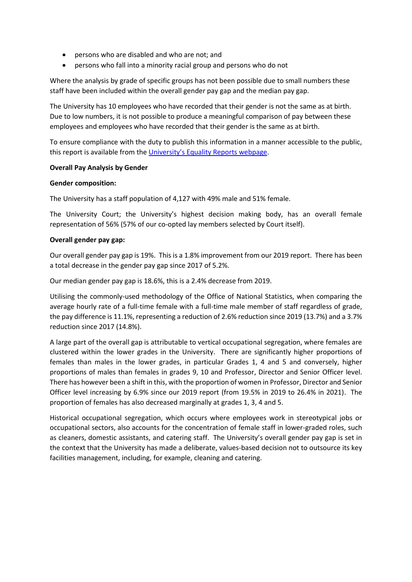- persons who are disabled and who are not; and
- persons who fall into a minority racial group and persons who do not

Where the analysis by grade of specific groups has not been possible due to small numbers these staff have been included within the overall gender pay gap and the median pay gap.

The University has 10 employees who have recorded that their gender is not the same as at birth. Due to low numbers, it is not possible to produce a meaningful comparison of pay between these employees and employees who have recorded that their gender is the same as at birth.

To ensure compliance with the duty to publish this information in a manner accessible to the public, this report is available from the [University's Equality Reports webpage](https://www.strath.ac.uk/whystrathclyde/equalitydiversity/reports/).

### **Overall Pay Analysis by Gender**

### **Gender composition:**

The University has a staff population of 4,127 with 49% male and 51% female.

The University Court; the University's highest decision making body, has an overall female representation of 56% (57% of our co-opted lay members selected by Court itself).

### **Overall gender pay gap:**

Our overall gender pay gap is 19%. This is a 1.8% improvement from our 2019 report. There has been a total decrease in the gender pay gap since 2017 of 5.2%.

Our median gender pay gap is 18.6%, this is a 2.4% decrease from 2019.

Utilising the commonly-used methodology of the Office of National Statistics, when comparing the average hourly rate of a full-time female with a full-time male member of staff regardless of grade, the pay difference is 11.1%, representing a reduction of 2.6% reduction since 2019 (13.7%) and a 3.7% reduction since 2017 (14.8%).

A large part of the overall gap is attributable to vertical occupational segregation, where females are clustered within the lower grades in the University. There are significantly higher proportions of females than males in the lower grades, in particular Grades 1, 4 and 5 and conversely, higher proportions of males than females in grades 9, 10 and Professor, Director and Senior Officer level. There has however been a shift in this, with the proportion of women in Professor, Director and Senior Officer level increasing by 6.9% since our 2019 report (from 19.5% in 2019 to 26.4% in 2021). The proportion of females has also decreased marginally at grades 1, 3, 4 and 5.

Historical occupational segregation, which occurs where employees work in stereotypical jobs or occupational sectors, also accounts for the concentration of female staff in lower-graded roles, such as cleaners, domestic assistants, and catering staff. The University's overall gender pay gap is set in the context that the University has made a deliberate, values-based decision not to outsource its key facilities management, including, for example, cleaning and catering.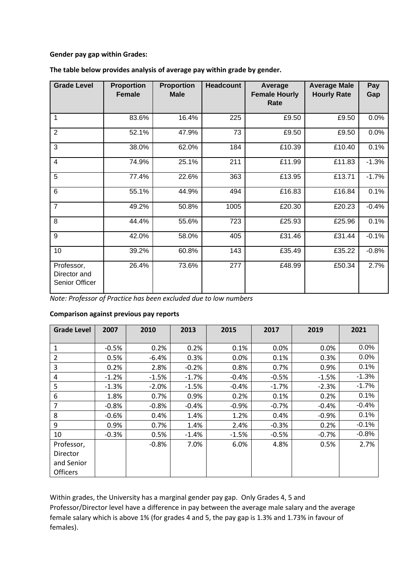### **Gender pay gap within Grades:**

| <b>Grade Level</b>                           | <b>Proportion</b><br><b>Female</b> | <b>Proportion</b><br><b>Male</b> | <b>Headcount</b> | Average<br><b>Female Hourly</b><br>Rate | <b>Average Male</b><br><b>Hourly Rate</b> | Pay<br>Gap |
|----------------------------------------------|------------------------------------|----------------------------------|------------------|-----------------------------------------|-------------------------------------------|------------|
| 1                                            | 83.6%                              | 16.4%                            | 225              | £9.50                                   | £9.50                                     | 0.0%       |
| $\overline{2}$                               | 52.1%                              | 47.9%                            | 73               | £9.50                                   | £9.50                                     | 0.0%       |
| 3                                            | 38.0%                              | 62.0%                            | 184              | £10.39                                  | £10.40                                    | 0.1%       |
| $\overline{4}$                               | 74.9%                              | 25.1%                            | 211              | £11.99                                  | £11.83                                    | $-1.3%$    |
| 5                                            | 77.4%                              | 22.6%                            | 363              | £13.95                                  | £13.71                                    | $-1.7%$    |
| 6                                            | 55.1%                              | 44.9%                            | 494              | £16.83                                  | £16.84                                    | 0.1%       |
| $\overline{7}$                               | 49.2%                              | 50.8%                            | 1005             | £20.30                                  | £20.23                                    | $-0.4%$    |
| 8                                            | 44.4%                              | 55.6%                            | 723              | £25.93                                  | £25.96                                    | 0.1%       |
| 9                                            | 42.0%                              | 58.0%                            | 405              | £31.46                                  | £31.44                                    | $-0.1%$    |
| 10                                           | 39.2%                              | 60.8%                            | 143              | £35.49                                  | £35.22                                    | $-0.8%$    |
| Professor,<br>Director and<br>Senior Officer | 26.4%                              | 73.6%                            | 277              | £48.99                                  | £50.34                                    | 2.7%       |

**The table below provides analysis of average pay within grade by gender.** 

*Note: Professor of Practice has been excluded due to low numbers*

# **Comparison against previous pay reports**

| <b>Grade Level</b> | 2007    | 2010    | 2013    | 2015    | 2017    | 2019    | 2021     |
|--------------------|---------|---------|---------|---------|---------|---------|----------|
|                    |         |         |         |         |         |         |          |
| 1                  | $-0.5%$ | 0.2%    | 0.2%    | 0.1%    | 0.0%    | 0.0%    | 0.0%     |
| $\overline{2}$     | 0.5%    | $-6.4%$ | 0.3%    | 0.0%    | 0.1%    | 0.3%    | 0.0%     |
| 3                  | 0.2%    | 2.8%    | $-0.2%$ | 0.8%    | 0.7%    | 0.9%    | 0.1%     |
| 4                  | $-1.2%$ | $-1.5%$ | $-1.7%$ | $-0.4%$ | $-0.5%$ | $-1.5%$ | $-1.3%$  |
| 5                  | $-1.3%$ | $-2.0%$ | $-1.5%$ | $-0.4%$ | $-1.7%$ | $-2.3%$ | $-1.7\%$ |
| 6                  | 1.8%    | 0.7%    | 0.9%    | 0.2%    | 0.1%    | 0.2%    | 0.1%     |
| $\overline{7}$     | $-0.8%$ | $-0.8%$ | $-0.4%$ | $-0.9%$ | $-0.7%$ | $-0.4%$ | $-0.4%$  |
| 8                  | $-0.6%$ | 0.4%    | 1.4%    | 1.2%    | 0.4%    | $-0.9%$ | 0.1%     |
| 9                  | 0.9%    | 0.7%    | 1.4%    | 2.4%    | $-0.3%$ | 0.2%    | $-0.1%$  |
| 10                 | $-0.3%$ | 0.5%    | $-1.4%$ | $-1.5%$ | $-0.5%$ | $-0.7%$ | $-0.8%$  |
| Professor,         |         | $-0.8%$ | 7.0%    | 6.0%    | 4.8%    | 0.5%    | 2.7%     |
| <b>Director</b>    |         |         |         |         |         |         |          |
| and Senior         |         |         |         |         |         |         |          |
| <b>Officers</b>    |         |         |         |         |         |         |          |

Within grades, the University has a marginal gender pay gap. Only Grades 4, 5 and Professor/Director level have a difference in pay between the average male salary and the average female salary which is above 1% (for grades 4 and 5, the pay gap is 1.3% and 1.73% in favour of females).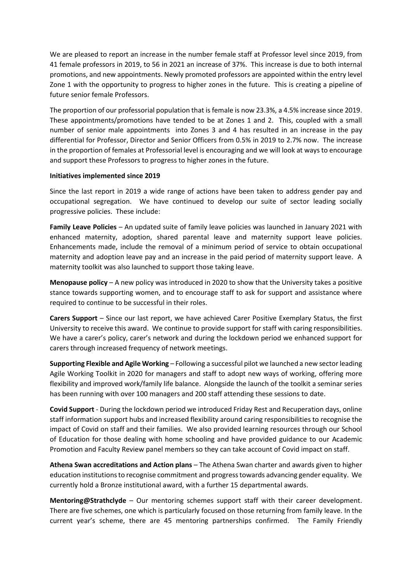We are pleased to report an increase in the number female staff at Professor level since 2019, from 41 female professors in 2019, to 56 in 2021 an increase of 37%. This increase is due to both internal promotions, and new appointments. Newly promoted professors are appointed within the entry level Zone 1 with the opportunity to progress to higher zones in the future. This is creating a pipeline of future senior female Professors.

The proportion of our professorial population that is female is now 23.3%, a 4.5% increase since 2019. These appointments/promotions have tended to be at Zones 1 and 2. This, coupled with a small number of senior male appointments into Zones 3 and 4 has resulted in an increase in the pay differential for Professor, Director and Senior Officers from 0.5% in 2019 to 2.7% now. The increase in the proportion of females at Professorial level is encouraging and we will look at ways to encourage and support these Professors to progress to higher zones in the future.

### **Initiatives implemented since 2019**

Since the last report in 2019 a wide range of actions have been taken to address gender pay and occupational segregation. We have continued to develop our suite of sector leading socially progressive policies. These include:

**Family Leave Policies** – An updated suite of family leave policies was launched in January 2021 with enhanced maternity, adoption, shared parental leave and maternity support leave policies. Enhancements made, include the removal of a minimum period of service to obtain occupational maternity and adoption leave pay and an increase in the paid period of maternity support leave. A maternity toolkit was also launched to support those taking leave.

**Menopause policy** – A new policy was introduced in 2020 to show that the University takes a positive stance towards supporting women, and to encourage staff to ask for support and assistance where required to continue to be successful in their roles.

**Carers Support** – Since our last report, we have achieved Carer Positive Exemplary Status, the first University to receive this award. We continue to provide support for staff with caring responsibilities. We have a carer's policy, carer's network and during the lockdown period we enhanced support for carers through increased frequency of network meetings.

**Supporting Flexible and Agile Working** – Following a successful pilot we launched a new sector leading Agile Working Toolkit in 2020 for managers and staff to adopt new ways of working, offering more flexibility and improved work/family life balance. Alongside the launch of the toolkit a seminar series has been running with over 100 managers and 200 staff attending these sessions to date.

**Covid Support** - During the lockdown period we introduced Friday Rest and Recuperation days, online staff information support hubs and increased flexibility around caring responsibilities to recognise the impact of Covid on staff and their families. We also provided learning resources through our School of Education for those dealing with home schooling and have provided guidance to our Academic Promotion and Faculty Review panel members so they can take account of Covid impact on staff.

**Athena Swan accreditations and Action plans** – The Athena Swan charter and awards given to higher education institutions to recognise commitment and progress towards advancing gender equality. We currently hold a Bronze institutional award, with a further 15 departmental awards.

**Mentoring@Strathclyde** – Our mentoring schemes support staff with their career development. There are five schemes, one which is particularly focused on those returning from family leave. In the current year's scheme, there are 45 mentoring partnerships confirmed. The Family Friendly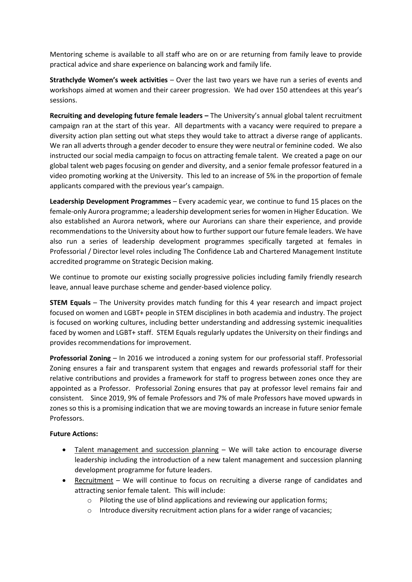Mentoring scheme is available to all staff who are on or are returning from family leave to provide practical advice and share experience on balancing work and family life.

**Strathclyde Women's week activities** – Over the last two years we have run a series of events and workshops aimed at women and their career progression. We had over 150 attendees at this year's sessions.

**Recruiting and developing future female leaders –** The University's annual global talent recruitment campaign ran at the start of this year. All departments with a vacancy were required to prepare a diversity action plan setting out what steps they would take to attract a diverse range of applicants. We ran all adverts through a gender decoder to ensure they were neutral or feminine coded. We also instructed our social media campaign to focus on attracting female talent. We created a page on our global talent web pages focusing on gender and diversity, and a senior female professor featured in a video promoting working at the University. This led to an increase of 5% in the proportion of female applicants compared with the previous year's campaign.

**Leadership Development Programmes** – Every academic year, we continue to fund 15 places on the female-only Aurora programme; a leadership development series for women in Higher Education. We also established an Aurora network, where our Aurorians can share their experience, and provide recommendations to the University about how to further support our future female leaders. We have also run a series of leadership development programmes specifically targeted at females in Professorial / Director level roles including The Confidence Lab and Chartered Management Institute accredited programme on Strategic Decision making.

We continue to promote our existing socially progressive policies including family friendly research leave, annual leave purchase scheme and gender-based violence policy.

**STEM Equals** – The University provides match funding for this 4 year research and impact project focused on women and LGBT+ people in STEM disciplines in both academia and industry. The project is focused on working cultures, including better understanding and addressing systemic inequalities faced by women and LGBT+ staff. STEM Equals regularly updates the University on their findings and provides recommendations for improvement.

**Professorial Zoning** – In 2016 we introduced a zoning system for our professorial staff. Professorial Zoning ensures a fair and transparent system that engages and rewards professorial staff for their relative contributions and provides a framework for staff to progress between zones once they are appointed as a Professor. Professorial Zoning ensures that pay at professor level remains fair and consistent. Since 2019, 9% of female Professors and 7% of male Professors have moved upwards in zones so this is a promising indication that we are moving towards an increase in future senior female Professors.

# **Future Actions:**

- Talent management and succession planning We will take action to encourage diverse leadership including the introduction of a new talent management and succession planning development programme for future leaders.
- Recruitment We will continue to focus on recruiting a diverse range of candidates and attracting senior female talent. This will include:
	- o Piloting the use of blind applications and reviewing our application forms;
	- o Introduce diversity recruitment action plans for a wider range of vacancies;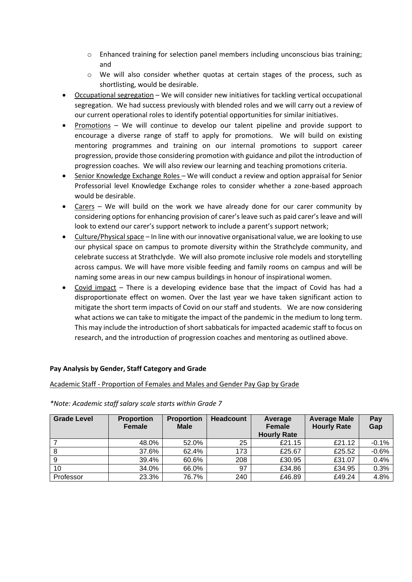- o Enhanced training for selection panel members including unconscious bias training; and
- o We will also consider whether quotas at certain stages of the process, such as shortlisting, would be desirable.
- Occupational segregation We will consider new initiatives for tackling vertical occupational segregation. We had success previously with blended roles and we will carry out a review of our current operational roles to identify potential opportunities for similar initiatives.
- Promotions We will continue to develop our talent pipeline and provide support to encourage a diverse range of staff to apply for promotions. We will build on existing mentoring programmes and training on our internal promotions to support career progression, provide those considering promotion with guidance and pilot the introduction of progression coaches. We will also review our learning and teaching promotions criteria.
- Senior Knowledge Exchange Roles We will conduct a review and option appraisal for Senior Professorial level Knowledge Exchange roles to consider whether a zone-based approach would be desirable.
- Carers We will build on the work we have already done for our carer community by considering options for enhancing provision of carer's leave such as paid carer's leave and will look to extend our carer's support network to include a parent's support network;
- Culture/Physical space In line with our innovative organisational value, we are looking to use our physical space on campus to promote diversity within the Strathclyde community, and celebrate success at Strathclyde. We will also promote inclusive role models and storytelling across campus. We will have more visible feeding and family rooms on campus and will be naming some areas in our new campus buildings in honour of inspirational women.
- Covid impact There is a developing evidence base that the impact of Covid has had a disproportionate effect on women. Over the last year we have taken significant action to mitigate the short term impacts of Covid on our staff and students. We are now considering what actions we can take to mitigate the impact of the pandemic in the medium to long term. This may include the introduction of short sabbaticals for impacted academic staff to focus on research, and the introduction of progression coaches and mentoring as outlined above.

# **Pay Analysis by Gender, Staff Category and Grade**

### Academic Staff - Proportion of Females and Males and Gender Pay Gap by Grade

| <b>Grade Level</b> | <b>Proportion</b><br>Female | <b>Proportion</b><br><b>Male</b> | <b>Headcount</b> | Average<br>Female<br><b>Hourly Rate</b> | <b>Average Male</b><br><b>Hourly Rate</b> | Pay<br>Gap |
|--------------------|-----------------------------|----------------------------------|------------------|-----------------------------------------|-------------------------------------------|------------|
|                    | 48.0%                       | 52.0%                            | 25               | £21.15                                  | £21.12                                    | $-0.1%$    |
| 8                  | 37.6%                       | 62.4%                            | 173              | £25.67                                  | £25.52                                    | $-0.6%$    |
| 9                  | 39.4%                       | 60.6%                            | 208              | £30.95                                  | £31.07                                    | 0.4%       |
| 10                 | 34.0%                       | 66.0%                            | 97               | £34.86                                  | £34.95                                    | 0.3%       |
| Professor          | 23.3%                       | 76.7%                            | 240              | £46.89                                  | £49.24                                    | 4.8%       |

*\*Note: Academic staff salary scale starts within Grade 7*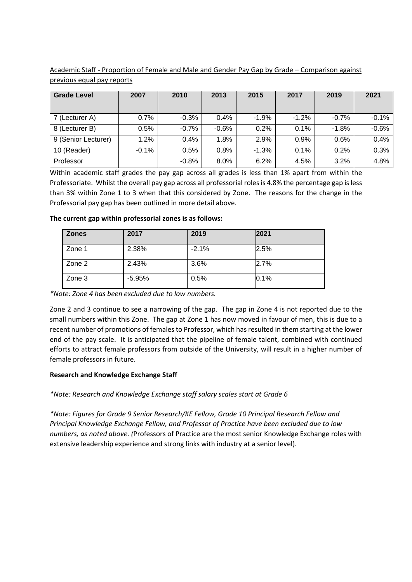| Academic Staff - Proportion of Female and Male and Gender Pay Gap by Grade – Comparison against |  |  |  |
|-------------------------------------------------------------------------------------------------|--|--|--|
| previous equal pay reports                                                                      |  |  |  |

| <b>Grade Level</b>  | 2007    | 2010    | 2013    | 2015    | 2017    | 2019    | 2021    |
|---------------------|---------|---------|---------|---------|---------|---------|---------|
|                     |         |         |         |         |         |         |         |
| 7 (Lecturer A)      | 0.7%    | $-0.3%$ | 0.4%    | $-1.9%$ | $-1.2%$ | $-0.7%$ | $-0.1%$ |
| 8 (Lecturer B)      | 0.5%    | $-0.7%$ | $-0.6%$ | 0.2%    | 0.1%    | $-1.8%$ | $-0.6%$ |
| 9 (Senior Lecturer) | 1.2%    | 0.4%    | 1.8%    | 2.9%    | 0.9%    | 0.6%    | 0.4%    |
| 10 (Reader)         | $-0.1%$ | 0.5%    | 0.8%    | $-1.3%$ | 0.1%    | 0.2%    | 0.3%    |
| Professor           |         | $-0.8%$ | 8.0%    | 6.2%    | 4.5%    | 3.2%    | 4.8%    |

Within academic staff grades the pay gap across all grades is less than 1% apart from within the Professoriate. Whilst the overall pay gap across all professorial roles is 4.8% the percentage gap is less than 3% within Zone 1 to 3 when that this considered by Zone. The reasons for the change in the Professorial pay gap has been outlined in more detail above.

# **The current gap within professorial zones is as follows:**

| <b>Zones</b> | 2017     | 2019    | 2021 |
|--------------|----------|---------|------|
| Zone 1       | 2.38%    | $-2.1%$ | 2.5% |
| Zone 2       | 2.43%    | 3.6%    | 2.7% |
| Zone 3       | $-5.95%$ | 0.5%    | 0.1% |

*\*Note: Zone 4 has been excluded due to low numbers.* 

Zone 2 and 3 continue to see a narrowing of the gap. The gap in Zone 4 is not reported due to the small numbers within this Zone. The gap at Zone 1 has now moved in favour of men, this is due to a recent number of promotions of females to Professor, which has resulted in them starting at the lower end of the pay scale. It is anticipated that the pipeline of female talent, combined with continued efforts to attract female professors from outside of the University, will result in a higher number of female professors in future.

# **Research and Knowledge Exchange Staff**

*\*Note: Research and Knowledge Exchange staff salary scales start at Grade 6*

*\*Note: Figures for Grade 9 Senior Research/KE Fellow, Grade 10 Principal Research Fellow and Principal Knowledge Exchange Fellow, and Professor of Practice have been excluded due to low numbers, as noted above. (*Professors of Practice are the most senior Knowledge Exchange roles with extensive leadership experience and strong links with industry at a senior level).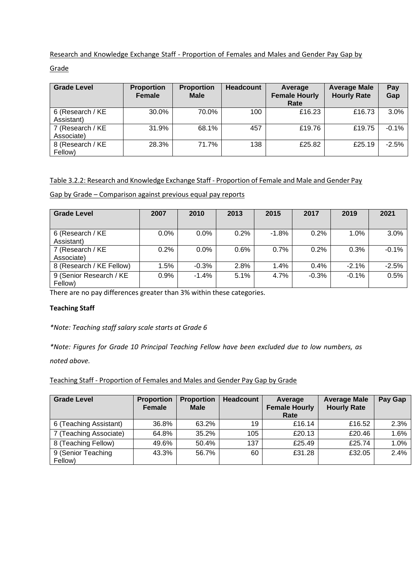Research and Knowledge Exchange Staff - Proportion of Females and Males and Gender Pay Gap by

Grade

| <b>Grade Level</b>             | <b>Proportion</b><br><b>Female</b> | <b>Proportion</b><br><b>Male</b> | <b>Headcount</b> | Average<br><b>Female Hourly</b><br>Rate | <b>Average Male</b><br><b>Hourly Rate</b> | Pay<br>Gap |
|--------------------------------|------------------------------------|----------------------------------|------------------|-----------------------------------------|-------------------------------------------|------------|
| 6 (Research / KE<br>Assistant) | 30.0%                              | 70.0%                            | 100              | £16.23                                  | £16.73                                    | $3.0\%$    |
| 7 (Research / KE<br>Associate) | 31.9%                              | 68.1%                            | 457              | £19.76                                  | £19.75                                    | $-0.1%$    |
| 8 (Research / KE<br>Fellow)    | 28.3%                              | 71.7%                            | 138              | £25.82                                  | £25.19                                    | $-2.5%$    |

# Table 3.2.2: Research and Knowledge Exchange Staff - Proportion of Female and Male and Gender Pay

Gap by Grade – Comparison against previous equal pay reports

| <b>Grade Level</b>                 | 2007 | 2010    | 2013 | 2015    | 2017    | 2019    | 2021    |
|------------------------------------|------|---------|------|---------|---------|---------|---------|
| 6 (Research / KE<br>Assistant)     | 0.0% | 0.0%    | 0.2% | $-1.8%$ | 0.2%    | 1.0%    | 3.0%    |
| 7 (Research / KE<br>Associate)     | 0.2% | 0.0%    | 0.6% | 0.7%    | 0.2%    | 0.3%    | $-0.1%$ |
| 8 (Research / KE Fellow)           | 1.5% | $-0.3%$ | 2.8% | 1.4%    | 0.4%    | $-2.1%$ | $-2.5%$ |
| 9 (Senior Research / KE<br>Fellow) | 0.9% | $-1.4%$ | 5.1% | 4.7%    | $-0.3%$ | $-0.1%$ | 0.5%    |

There are no pay differences greater than 3% within these categories.

### **Teaching Staff**

*\*Note: Teaching staff salary scale starts at Grade 6*

*\*Note: Figures for Grade 10 Principal Teaching Fellow have been excluded due to low numbers, as noted above.* 

Teaching Staff - Proportion of Females and Males and Gender Pay Gap by Grade

| <b>Grade Level</b>            | <b>Proportion</b><br><b>Female</b> | <b>Proportion</b><br><b>Male</b> | <b>Headcount</b> | Average<br><b>Female Hourly</b><br>Rate | <b>Average Male</b><br><b>Hourly Rate</b> | Pay Gap |
|-------------------------------|------------------------------------|----------------------------------|------------------|-----------------------------------------|-------------------------------------------|---------|
| 6 (Teaching Assistant)        | 36.8%                              | 63.2%                            | 19               | £16.14                                  | £16.52                                    | 2.3%    |
| 7 (Teaching Associate)        | 64.8%                              | 35.2%                            | 105              | £20.13                                  | £20.46                                    | 1.6%    |
| 8 (Teaching Fellow)           | 49.6%                              | 50.4%                            | 137              | £25.49                                  | £25.74                                    | 1.0%    |
| 9 (Senior Teaching<br>Fellow) | 43.3%                              | 56.7%                            | 60               | £31.28                                  | £32.05                                    | 2.4%    |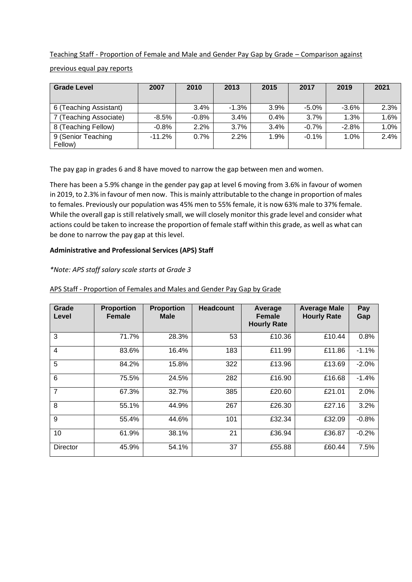Teaching Staff - Proportion of Female and Male and Gender Pay Gap by Grade – Comparison against previous equal pay reports

| <b>Grade Level</b>     | 2007     | 2010    | 2013    | 2015 | 2017    | 2019    | 2021 |
|------------------------|----------|---------|---------|------|---------|---------|------|
| 6 (Teaching Assistant) |          | 3.4%    | $-1.3%$ | 3.9% | $-5.0%$ | $-3.6%$ | 2.3% |
| 7 (Teaching Associate) | -8.5%    | $-0.8%$ | 3.4%    | 0.4% | 3.7%    | 1.3%    | 1.6% |
| 8 (Teaching Fellow)    | $-0.8%$  | 2.2%    | 3.7%    | 3.4% | $-0.7%$ | $-2.8%$ | 1.0% |
| 9 (Senior Teaching     | $-11.2%$ | 0.7%    | 2.2%    | 1.9% | $-0.1%$ | 1.0%    | 2.4% |
| Fellow)                |          |         |         |      |         |         |      |

The pay gap in grades 6 and 8 have moved to narrow the gap between men and women.

There has been a 5.9% change in the gender pay gap at level 6 moving from 3.6% in favour of women in 2019, to 2.3% in favour of men now. This is mainly attributable to the change in proportion of males to females. Previously our population was 45% men to 55% female, it is now 63% male to 37% female. While the overall gap is still relatively small, we will closely monitor this grade level and consider what actions could be taken to increase the proportion of female staff within this grade, as well as what can be done to narrow the pay gap at this level.

# **Administrative and Professional Services (APS) Staff**

## *\*Note: APS staff salary scale starts at Grade 3*

| Grade<br>Level | <b>Proportion</b><br><b>Female</b> | <b>Proportion</b><br>Male | <b>Headcount</b> | Average<br><b>Female</b><br><b>Hourly Rate</b> | <b>Average Male</b><br><b>Hourly Rate</b> | Pay<br>Gap |
|----------------|------------------------------------|---------------------------|------------------|------------------------------------------------|-------------------------------------------|------------|
| 3              | 71.7%                              | 28.3%                     | 53               | £10.36                                         | £10.44                                    | 0.8%       |
| $\overline{4}$ | 83.6%                              | 16.4%                     | 183              | £11.99                                         | £11.86                                    | $-1.1%$    |
| 5              | 84.2%                              | 15.8%                     | 322              | £13.96                                         | £13.69                                    | $-2.0%$    |
| 6              | 75.5%                              | 24.5%                     | 282              | £16.90                                         | £16.68                                    | $-1.4%$    |
| $\overline{7}$ | 67.3%                              | 32.7%                     | 385              | £20.60                                         | £21.01                                    | 2.0%       |
| 8              | 55.1%                              | 44.9%                     | 267              | £26.30                                         | £27.16                                    | 3.2%       |
| 9              | 55.4%                              | 44.6%                     | 101              | £32.34                                         | £32.09                                    | $-0.8%$    |
| 10             | 61.9%                              | 38.1%                     | 21               | £36.94                                         | £36.87                                    | $-0.2%$    |
| Director       | 45.9%                              | 54.1%                     | 37               | £55.88                                         | £60.44                                    | 7.5%       |

### APS Staff - Proportion of Females and Males and Gender Pay Gap by Grade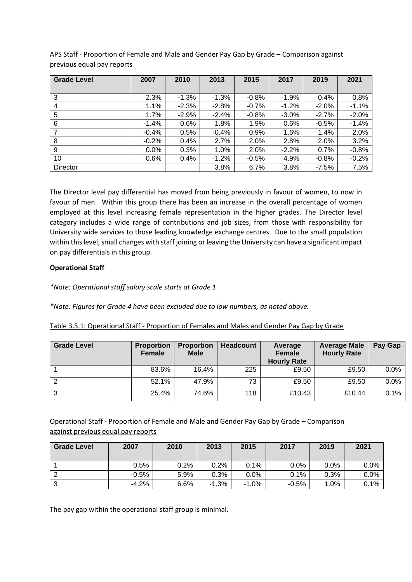| <b>Grade Level</b> | 2007    | 2010    | 2013    | 2015    | 2017     | 2019     | 2021    |
|--------------------|---------|---------|---------|---------|----------|----------|---------|
|                    |         |         |         |         |          |          |         |
| 3                  | 2.3%    | $-1.3%$ | $-1.3%$ | $-0.8%$ | $-1.9%$  | 0.4%     | 0.8%    |
| 4                  | 1.1%    | $-2.3%$ | $-2.8%$ | $-0.7%$ | $-1.2%$  | $-2.0\%$ | $-1.1%$ |
| 5                  | 1.7%    | $-2.9%$ | $-2.4%$ | $-0.8%$ | $-3.0\%$ | $-2.7%$  | $-2.0%$ |
| 6                  | $-1.4%$ | 0.6%    | 1.8%    | 1.9%    | 0.6%     | $-0.5%$  | $-1.4%$ |
| 7                  | $-0.4%$ | 0.5%    | $-0.4%$ | 0.9%    | 1.6%     | 1.4%     | 2.0%    |
| 8                  | $-0.2%$ | 0.4%    | 2.7%    | 2.0%    | 2.8%     | 2.0%     | 3.2%    |
| 9                  | 0.0%    | 0.3%    | 1.0%    | 2.0%    | $-2.2%$  | 0.7%     | $-0.8%$ |
| 10                 | 0.6%    | 0.4%    | $-1.2%$ | $-0.5%$ | 4.9%     | $-0.8%$  | $-0.2%$ |
| Director           |         |         | 3.8%    | 6.7%    | 3.8%     | $-7.5%$  | 7.5%    |

APS Staff - Proportion of Female and Male and Gender Pay Gap by Grade – Comparison against previous equal pay reports

The Director level pay differential has moved from being previously in favour of women, to now in favour of men. Within this group there has been an increase in the overall percentage of women employed at this level increasing female representation in the higher grades. The Director level category includes a wide range of contributions and job sizes, from those with responsibility for University wide services to those leading knowledge exchange centres. Due to the small population within this level, small changes with staff joining or leaving the University can have a significant impact on pay differentials in this group.

# **Operational Staff**

*\*Note: Operational staff salary scale starts at Grade 1*

*\*Note: Figures for Grade 4 have been excluded due to low numbers, as noted above.* 

| Table 3.5.1: Operational Staff - Proportion of Females and Males and Gender Pay Gap by Grade |  |  |  |
|----------------------------------------------------------------------------------------------|--|--|--|
|                                                                                              |  |  |  |

| <b>Grade Level</b> | <b>Proportion</b><br><b>Female</b> | <b>Proportion</b><br><b>Male</b> | <b>Headcount</b> | Average<br><b>Female</b><br><b>Hourly Rate</b> | <b>Average Male</b><br><b>Hourly Rate</b> | Pay Gap |
|--------------------|------------------------------------|----------------------------------|------------------|------------------------------------------------|-------------------------------------------|---------|
|                    | 83.6%                              | 16.4%                            | 225              | £9.50                                          | £9.50                                     | $0.0\%$ |
|                    | 52.1%                              | 47.9%                            | 73               | £9.50                                          | £9.50                                     | 0.0%    |
| ົ<br>د             | 25.4%                              | 74.6%                            | 118              | £10.43                                         | £10.44                                    | 0.1%    |

Operational Staff - Proportion of Female and Male and Gender Pay Gap by Grade – Comparison against previous equal pay reports

| <b>Grade Level</b> | 2007    | 2010 | 2013    | 2015    | 2017    | 2019 | 2021    |
|--------------------|---------|------|---------|---------|---------|------|---------|
|                    | 0.5%    | 0.2% | 0.2%    | 0.1%    | $0.0\%$ | 0.0% | $0.0\%$ |
|                    | $-0.5%$ | 5.9% | $-0.3%$ | 0.0%    | 0.1%    | 0.3% | 0.0%    |
|                    | $-4.2%$ | 6.6% | $-1.3%$ | $-1.0%$ | $-0.5%$ | 1.0% | 0.1%    |

The pay gap within the operational staff group is minimal.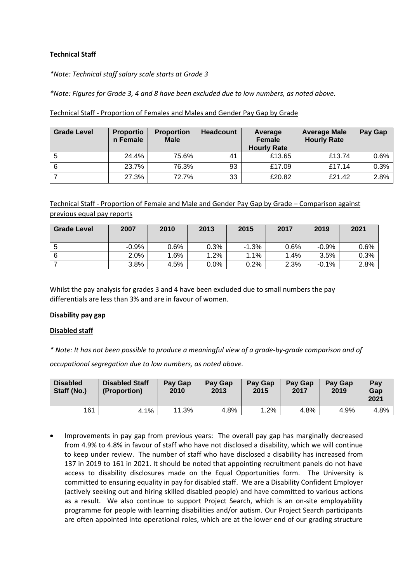# **Technical Staff**

*\*Note: Technical staff salary scale starts at Grade 3*

*\*Note: Figures for Grade 3, 4 and 8 have been excluded due to low numbers, as noted above.*

| <b>Grade Level</b> | <b>Proportio</b><br>n Female | <b>Proportion</b><br><b>Male</b> | <b>Headcount</b> | Average<br><b>Female</b><br><b>Hourly Rate</b> | <b>Average Male</b><br><b>Hourly Rate</b> | Pay Gap |
|--------------------|------------------------------|----------------------------------|------------------|------------------------------------------------|-------------------------------------------|---------|
| 5                  | 24.4%                        | 75.6%                            | 41               | £13.65                                         | £13.74                                    | 0.6%    |
| 6                  | 23.7%                        | 76.3%                            | 93               | £17.09                                         | £17.14                                    | 0.3%    |
|                    | 27.3%                        | 72.7%                            | 33               | £20.82                                         | £21.42                                    | 2.8%    |

Technical Staff - Proportion of Females and Males and Gender Pay Gap by Grade

Technical Staff - Proportion of Female and Male and Gender Pay Gap by Grade – Comparison against previous equal pay reports

| <b>Grade Level</b> | 2007    | 2010 | 2013    | 2015    | 2017 | 2019    | 2021 |
|--------------------|---------|------|---------|---------|------|---------|------|
|                    |         |      |         |         |      |         |      |
| b                  | $-0.9%$ | 0.6% | 0.3%    | $-1.3%$ | 0.6% | $-0.9%$ | 0.6% |
| 6                  | 2.0%    | 1.6% | $1.2\%$ | 1.1%    | 1.4% | 3.5%    | 0.3% |
|                    | 3.8%    | 4.5% | $0.0\%$ | 0.2%    | 2.3% | $-0.1%$ | 2.8% |

Whilst the pay analysis for grades 3 and 4 have been excluded due to small numbers the pay differentials are less than 3% and are in favour of women.

### **Disability pay gap**

#### **Disabled staff**

*\* Note: It has not been possible to produce a meaningful view of a grade-by-grade comparison and of*

*occupational segregation due to low numbers, as noted above.*

| <b>Disabled</b><br>Staff (No.) | <b>Disabled Staff</b><br>(Proportion) | Pay Gap<br>2010 | Pay Gap<br>2013 | <b>Pay Gap</b><br>2015 | <b>Pay Gap</b><br>2017 | <b>Pay Gap</b><br>2019 | Pay<br>Gap<br>2021 |
|--------------------------------|---------------------------------------|-----------------|-----------------|------------------------|------------------------|------------------------|--------------------|
| 161                            | 4.1%                                  | 11.3%           | 4.8%            | $.2\%$                 | 4.8%                   | 4.9%                   | 4.8%               |

• Improvements in pay gap from previous years: The overall pay gap has marginally decreased from 4.9% to 4.8% in favour of staff who have not disclosed a disability, which we will continue to keep under review. The number of staff who have disclosed a disability has increased from 137 in 2019 to 161 in 2021. It should be noted that appointing recruitment panels do not have access to disability disclosures made on the Equal Opportunities form. The University is committed to ensuring equality in pay for disabled staff. We are a Disability Confident Employer (actively seeking out and hiring skilled disabled people) and have committed to various actions as a result. We also continue to support Project Search, which is an on-site employability programme for people with learning disabilities and/or autism. Our Project Search participants are often appointed into operational roles, which are at the lower end of our grading structure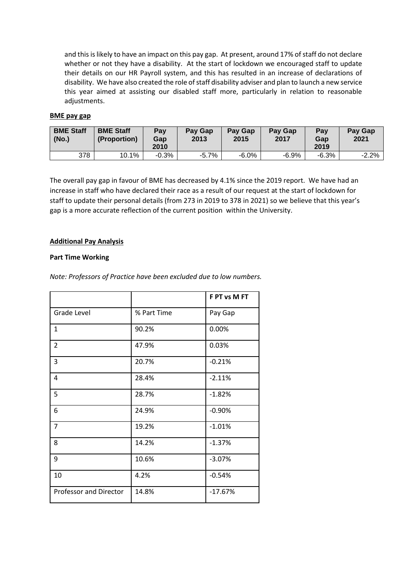and this is likely to have an impact on this pay gap. At present, around 17% of staff do not declare whether or not they have a disability. At the start of lockdown we encouraged staff to update their details on our HR Payroll system, and this has resulted in an increase of declarations of disability. We have also created the role of staff disability adviser and plan to launch a new service this year aimed at assisting our disabled staff more, particularly in relation to reasonable adjustments.

### **BME pay gap**

| <b>BME Staff</b><br>(No.) | <b>BME Staff</b><br>(Proportion) | Pay<br>Gap<br>2010 | Pay Gap<br>2013 | Pay Gap<br>2015 | Pay Gap<br>2017 | Pay<br>Gap<br>2019 | Pay Gap<br>2021 |
|---------------------------|----------------------------------|--------------------|-----------------|-----------------|-----------------|--------------------|-----------------|
| 378                       | 10.1%                            | $-0.3%$            | $-5.7%$         | $-6.0\%$        | $-6.9%$         | $-6.3%$            | $-2.2%$         |

The overall pay gap in favour of BME has decreased by 4.1% since the 2019 report. We have had an increase in staff who have declared their race as a result of our request at the start of lockdown for staff to update their personal details (from 273 in 2019 to 378 in 2021) so we believe that this year's gap is a more accurate reflection of the current position within the University.

## **Additional Pay Analysis**

## **Part Time Working**

*Note: Professors of Practice have been excluded due to low numbers.* 

|                        |             | F PT vs M FT |
|------------------------|-------------|--------------|
| <b>Grade Level</b>     | % Part Time | Pay Gap      |
| $\mathbf{1}$           | 90.2%       | 0.00%        |
| $\overline{2}$         | 47.9%       | 0.03%        |
| 3                      | 20.7%       | $-0.21%$     |
| 4                      | 28.4%       | $-2.11%$     |
| 5                      | 28.7%       | $-1.82%$     |
| 6                      | 24.9%       | $-0.90%$     |
| $\overline{7}$         | 19.2%       | $-1.01%$     |
| 8                      | 14.2%       | $-1.37%$     |
| 9                      | 10.6%       | $-3.07%$     |
| 10                     | 4.2%        | $-0.54%$     |
| Professor and Director | 14.8%       | $-17.67%$    |